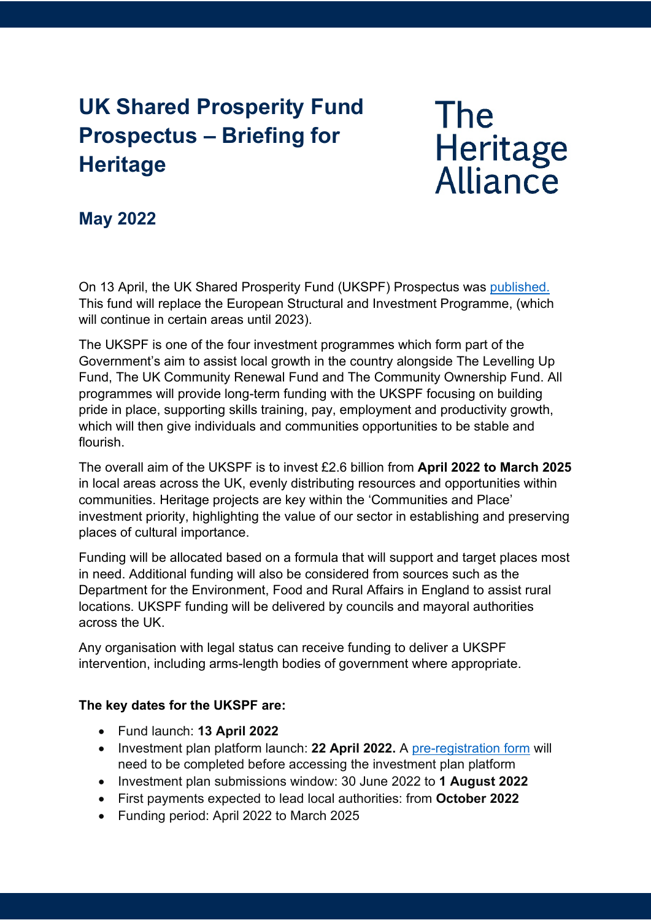## **UK Shared Prosperity Fund Prospectus – Briefing for Heritage**

# **The** Heritage<br>Alliance

### **May 2022**

On 13 April, the UK Shared Prosperity Fund (UKSPF) Prospectus was [published.](https://www.gov.uk/government/publications/uk-shared-prosperity-fund-prospectus/uk-shared-prosperity-fund-prospectus) This fund will replace the European Structural and Investment Programme, (which will continue in certain areas until 2023).

The UKSPF is one of the four investment programmes which form part of the Government's aim to assist local growth in the country alongside The Levelling Up Fund, The UK Community Renewal Fund and The Community Ownership Fund. All programmes will provide long-term funding with the UKSPF focusing on building pride in place, supporting skills training, pay, employment and productivity growth, which will then give individuals and communities opportunities to be stable and flourish.

The overall aim of the UKSPF is to invest £2.6 billion from **April 2022 to March 2025** in local areas across the UK, evenly distributing resources and opportunities within communities. Heritage projects are key within the 'Communities and Place' investment priority, highlighting the value of our sector in establishing and preserving places of cultural importance.

Funding will be allocated based on a formula that will support and target places most in need. Additional funding will also be considered from sources such as the Department for the Environment, Food and Rural Affairs in England to assist rural locations. UKSPF funding will be delivered by councils and mayoral authorities across the UK.

Any organisation with legal status can receive funding to deliver a UKSPF intervention, including arms-length bodies of government where appropriate.

#### **The key dates for the UKSPF are:**

- Fund launch: **13 April 2022**
- Investment plan platform launch: **22 April 2022.** A [pre-registration form](https://forms.office.com/r/X6x0cBDWxU) will need to be completed before accessing the investment plan platform
- Investment plan submissions window: 30 June 2022 to **1 August 2022**
- First payments expected to lead local authorities: from **October 2022**
- Funding period: April 2022 to March 2025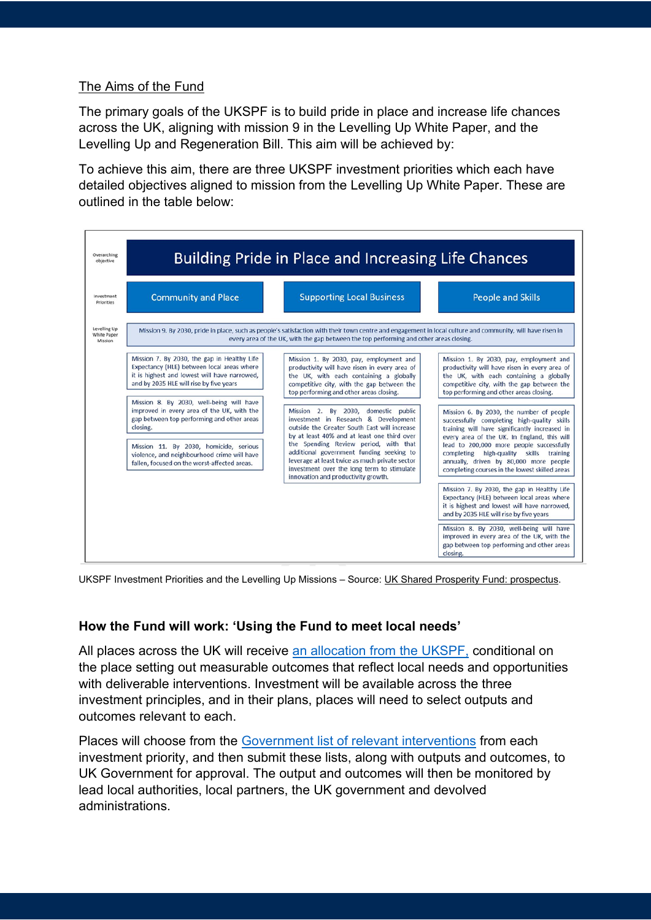#### The Aims of the Fund

The primary goals of the UKSPF is to build pride in place and increase life chances across the UK, aligning with mission 9 in the Levelling Up White Paper, and the Levelling Up and Regeneration Bill. This aim will be achieved by:

To achieve this aim, there are three UKSPF investment priorities which each have detailed objectives aligned to mission from the Levelling Up White Paper. These are outlined in the table below:



UKSPF Investment Priorities and the Levelling Up Missions - Source[: UK Shared Prosperity Fund: prospectus.](https://www.gov.uk/government/publications/uk-shared-prosperity-fund-prospectus/uk-shared-prosperity-fund-prospectus)

#### **How the Fund will work: 'Using the Fund to meet local needs'**

All places across the UK will receive [an allocation from the UKSPF,](https://www.gov.uk/government/publications/uk-shared-prosperity-fund-prospectus/ukspf-allocations) conditional on the place setting out measurable outcomes that reflect local needs and opportunities with deliverable interventions. Investment will be available across the three investment principles, and in their plans, places will need to select outputs and outcomes relevant to each.

Places will choose from the [Government list of relevant interventions](https://www.gov.uk/government/publications/uk-shared-prosperity-fund-interventions-outputs-and-indicators) from each investment priority, and then submit these lists, along with outputs and outcomes, to UK Government for approval. The output and outcomes will then be monitored by lead local authorities, local partners, the UK government and devolved administrations.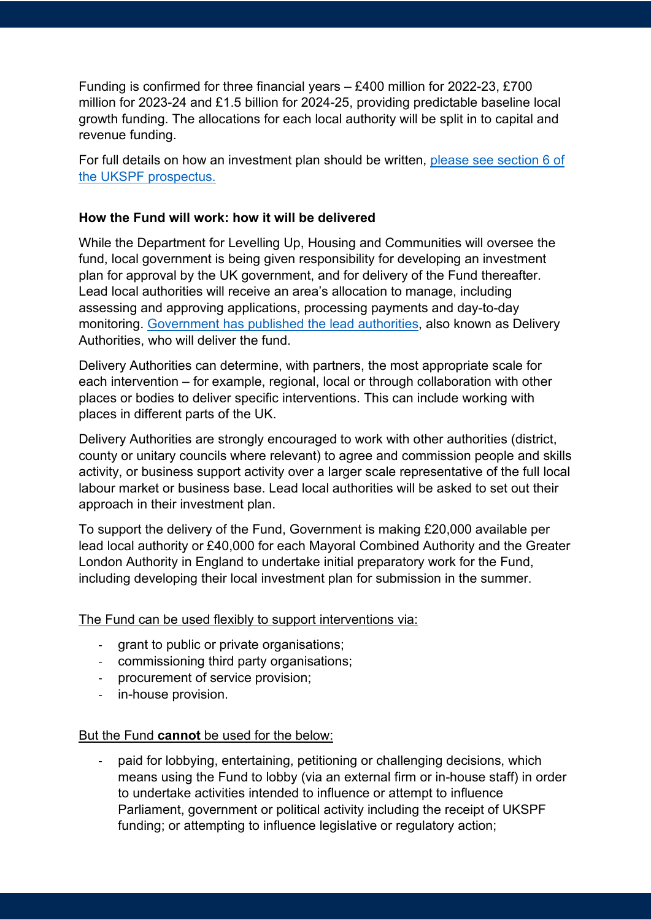Funding is confirmed for three financial years – £400 million for 2022-23, £700 million for 2023-24 and £1.5 billion for 2024-25, providing predictable baseline local growth funding. The allocations for each local authority will be split in to capital and revenue funding.

For full details on how an investment plan should be written, [please see section 6 of](https://www.gov.uk/government/publications/uk-shared-prosperity-fund-prospectus/uk-shared-prosperity-fund-prospectus)  [the UKSPF prospectus.](https://www.gov.uk/government/publications/uk-shared-prosperity-fund-prospectus/uk-shared-prosperity-fund-prospectus) 

#### **How the Fund will work: how it will be delivered**

While the Department for Levelling Up, Housing and Communities will oversee the fund, local government is being given responsibility for developing an investment plan for approval by the UK government, and for delivery of the Fund thereafter. Lead local authorities will receive an area's allocation to manage, including assessing and approving applications, processing payments and day-to-day monitoring. [Government has published the lead authorities,](https://www.gov.uk/government/publications/uk-shared-prosperity-fund-prospectus/delivery-geographies) also known as Delivery Authorities, who will deliver the fund.

Delivery Authorities can determine, with partners, the most appropriate scale for each intervention – for example, regional, local or through collaboration with other places or bodies to deliver specific interventions. This can include working with places in different parts of the UK.

Delivery Authorities are strongly encouraged to work with other authorities (district, county or unitary councils where relevant) to agree and commission people and skills activity, or business support activity over a larger scale representative of the full local labour market or business base. Lead local authorities will be asked to set out their approach in their investment plan.

To support the delivery of the Fund, Government is making £20,000 available per lead local authority or £40,000 for each Mayoral Combined Authority and the Greater London Authority in England to undertake initial preparatory work for the Fund, including developing their local investment plan for submission in the summer.

The Fund can be used flexibly to support interventions via:

- grant to public or private organisations;
- commissioning third party organisations;
- procurement of service provision;
- in-house provision.

#### But the Fund **cannot** be used for the below:

paid for lobbying, entertaining, petitioning or challenging decisions, which means using the Fund to lobby (via an external firm or in-house staff) in order to undertake activities intended to influence or attempt to influence Parliament, government or political activity including the receipt of UKSPF funding; or attempting to influence legislative or regulatory action;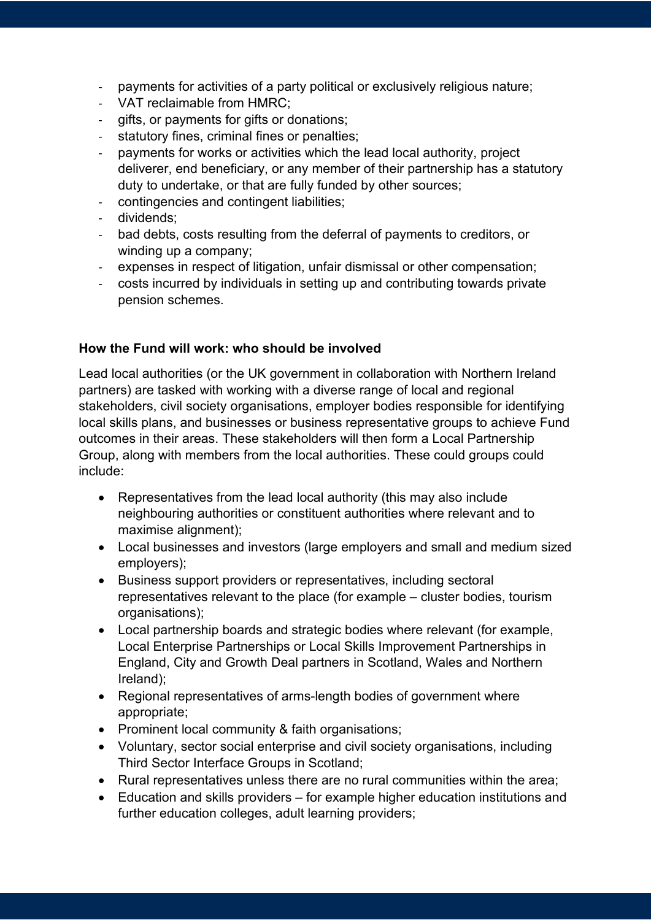- payments for activities of a party political or exclusively religious nature;
- VAT reclaimable from HMRC;
- gifts, or payments for gifts or donations;
- statutory fines, criminal fines or penalties;
- payments for works or activities which the lead local authority, project deliverer, end beneficiary, or any member of their partnership has a statutory duty to undertake, or that are fully funded by other sources;
- contingencies and contingent liabilities;
- dividends;
- bad debts, costs resulting from the deferral of payments to creditors, or winding up a company;
- expenses in respect of litigation, unfair dismissal or other compensation;
- costs incurred by individuals in setting up and contributing towards private pension schemes.

#### **How the Fund will work: who should be involved**

Lead local authorities (or the UK government in collaboration with Northern Ireland partners) are tasked with working with a diverse range of local and regional stakeholders, civil society organisations, employer bodies responsible for identifying local skills plans, and businesses or business representative groups to achieve Fund outcomes in their areas. These stakeholders will then form a Local Partnership Group, along with members from the local authorities. These could groups could include:

- Representatives from the lead local authority (this may also include neighbouring authorities or constituent authorities where relevant and to maximise alignment);
- Local businesses and investors (large employers and small and medium sized employers);
- Business support providers or representatives, including sectoral representatives relevant to the place (for example – cluster bodies, tourism organisations);
- Local partnership boards and strategic bodies where relevant (for example, Local Enterprise Partnerships or Local Skills Improvement Partnerships in England, City and Growth Deal partners in Scotland, Wales and Northern Ireland);
- Regional representatives of arms-length bodies of government where appropriate;
- Prominent local community & faith organisations;
- Voluntary, sector social enterprise and civil society organisations, including Third Sector Interface Groups in Scotland;
- Rural representatives unless there are no rural communities within the area;
- Education and skills providers for example higher education institutions and further education colleges, adult learning providers;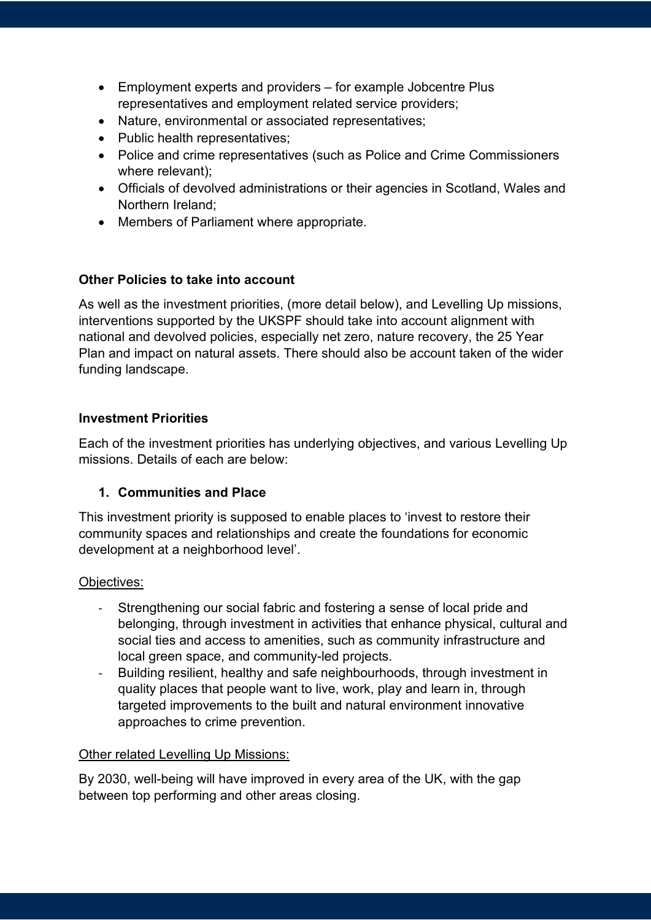- Employment experts and providers for example Jobcentre Plus representatives and employment related service providers;
- Nature, environmental or associated representatives;
- Public health representatives;
- Police and crime representatives (such as Police and Crime Commissioners where relevant);
- Officials of devolved administrations or their agencies in Scotland, Wales and Northern Ireland;
- Members of Parliament where appropriate.

#### **Other Policies to take into account**

As well as the investment priorities, (more detail below), and Levelling Up missions, interventions supported by the UKSPF should take into account alignment with national and devolved policies, especially net zero, nature recovery, the 25 Year Plan and impact on natural assets. There should also be account taken of the wider funding landscape.

#### **Investment Priorities**

Each of the investment priorities has underlying objectives, and various Levelling Up missions. Details of each are below:

#### **1. Communities and Place**

This investment priority is supposed to enable places to 'invest to restore their community spaces and relationships and create the foundations for economic development at a neighborhood level'.

#### Objectives:

- Strengthening our social fabric and fostering a sense of local pride and belonging, through investment in activities that enhance physical, cultural and social ties and access to amenities, such as community infrastructure and local green space, and community-led projects.
- Building resilient, healthy and safe neighbourhoods, through investment in quality places that people want to live, work, play and learn in, through targeted improvements to the built and natural environment innovative approaches to crime prevention.

#### Other related Levelling Up Missions:

By 2030, well-being will have improved in every area of the UK, with the gap between top performing and other areas closing.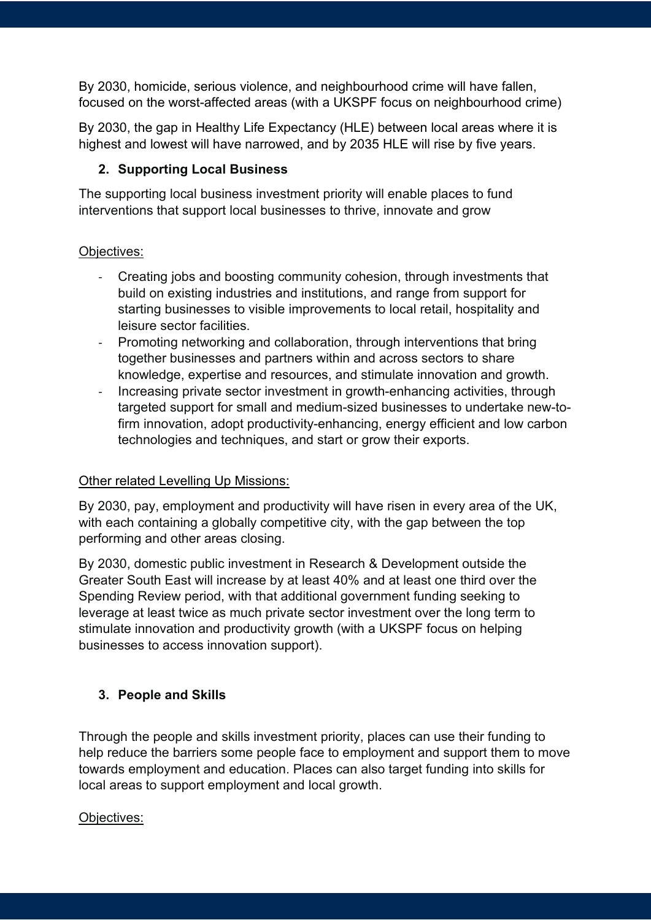By 2030, homicide, serious violence, and neighbourhood crime will have fallen, focused on the worst-affected areas (with a UKSPF focus on neighbourhood crime)

By 2030, the gap in Healthy Life Expectancy (HLE) between local areas where it is highest and lowest will have narrowed, and by 2035 HLE will rise by five years.

#### **2. Supporting Local Business**

The supporting local business investment priority will enable places to fund interventions that support local businesses to thrive, innovate and grow

#### Objectives:

- Creating jobs and boosting community cohesion, through investments that build on existing industries and institutions, and range from support for starting businesses to visible improvements to local retail, hospitality and leisure sector facilities.
- Promoting networking and collaboration, through interventions that bring together businesses and partners within and across sectors to share knowledge, expertise and resources, and stimulate innovation and growth.
- Increasing private sector investment in growth-enhancing activities, through targeted support for small and medium-sized businesses to undertake new-tofirm innovation, adopt productivity-enhancing, energy efficient and low carbon technologies and techniques, and start or grow their exports.

#### **Other related Levelling Up Missions:**

By 2030, pay, employment and productivity will have risen in every area of the UK, with each containing a globally competitive city, with the gap between the top performing and other areas closing.

By 2030, domestic public investment in Research & Development outside the Greater South East will increase by at least 40% and at least one third over the Spending Review period, with that additional government funding seeking to leverage at least twice as much private sector investment over the long term to stimulate innovation and productivity growth (with a UKSPF focus on helping businesses to access innovation support).

#### **3. People and Skills**

Through the people and skills investment priority, places can use their funding to help reduce the barriers some people face to employment and support them to move towards employment and education. Places can also target funding into skills for local areas to support employment and local growth.

#### Objectives: